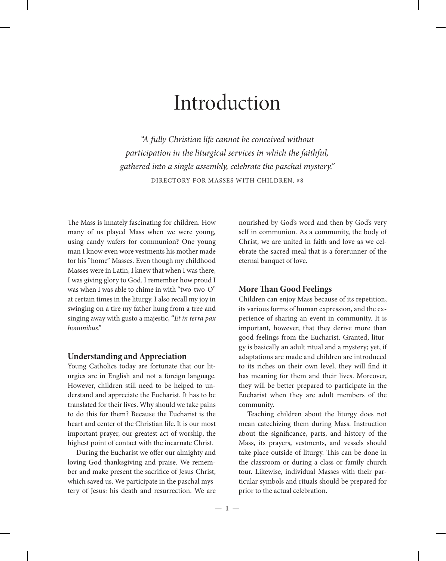# Introduction

*"A fully Christian life cannot be conceived without participation in the liturgical services in which the faithful, gathered into a single assembly, celebrate the paschal mystery."* Directory for Masses with Children, #8

The Mass is innately fascinating for children. How many of us played Mass when we were young, using candy wafers for communion? One young man I know even wore vestments his mother made for his "home" Masses. Even though my childhood Masses were in Latin, I knew that when I was there, I was giving glory to God. I remember how proud I was when I was able to chime in with "two-two-O'' at certain times in the liturgy. I also recall my joy in swinging on a tire my father hung from a tree and singing away with gusto a majestic, "*Et in terra pax hominibus*."

#### **Understanding and Appreciation**

Young Catholics today are fortunate that our liturgies are in English and not a foreign language. However, children still need to be helped to understand and appreciate the Eucharist. It has to be translated for their lives. Why should we take pains to do this for them? Because the Eucharist is the heart and center of the Christian life. It is our most important prayer, our greatest act of worship, the highest point of contact with the incarnate Christ.

During the Eucharist we offer our almighty and loving God thanksgiving and praise. We remember and make present the sacrifice of Jesus Christ, which saved us. We participate in the paschal mystery of Jesus: his death and resurrection. We are

nourished by God's word and then by God's very self in communion. As a community, the body of Christ, we are united in faith and love as we celebrate the sacred meal that is a forerunner of the eternal banquet of love.

#### **More Than Good Feelings**

Children can enjoy Mass because of its repetition, its various forms of human expression, and the experience of sharing an event in community. It is important, however, that they derive more than good feelings from the Eucharist. Granted, liturgy is basically an adult ritual and a mystery; yet, if adaptations are made and children are introduced to its riches on their own level, they will find it has meaning for them and their lives. Moreover, they will be better prepared to participate in the Eucharist when they are adult members of the community.

Teaching children about the liturgy does not mean catechizing them during Mass. Instruction about the significance, parts, and history of the Mass, its prayers, vestments, and vessels should take place outside of liturgy. This can be done in the classroom or during a class or family church tour. Likewise, individual Masses with their particular symbols and rituals should be prepared for prior to the actual celebration.

**— 1 —**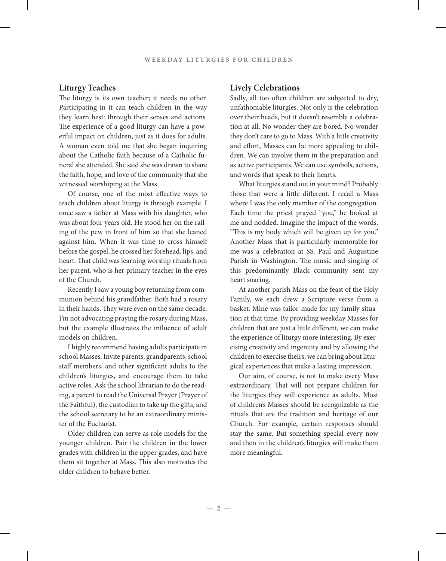## **Liturgy Teaches**

The liturgy is its own teacher; it needs no other. Participating in it can teach children in the way they learn best: through their senses and actions. The experience of a good liturgy can have a powerful impact on children, just as it does for adults. A woman even told me that she began inquiring about the Catholic faith because of a Catholic funeral she attended. She said she was drawn to share the faith, hope, and love of the community that she witnessed worshiping at the Mass.

Of course, one of the most effective ways to teach children about liturgy is through example. I once saw a father at Mass with his daughter, who was about four years old. He stood her on the railing of the pew in front of him so that she leaned against him. When it was time to cross himself before the gospel, he crossed her forehead, lips, and heart. That child was learning worship rituals from her parent, who is her primary teacher in the eyes of the Church.

Recently I saw a young boy returning from communion behind his grandfather. Both had a rosary in their hands. They were even on the same decade. I'm not advocating praying the rosary during Mass, but the example illustrates the influence of adult models on children.

I highly recommend having adults participate in school Masses. Invite parents, grandparents, school staff members, and other significant adults to the children's liturgies, and encourage them to take active roles. Ask the school librarian to do the reading, a parent to read the Universal Prayer (Prayer of the Faithful), the custodian to take up the gifts, and the school secretary to be an extraordinary minister of the Eucharist.

Older children can serve as role models for the younger children. Pair the children in the lower grades with children in the upper grades, and have them sit together at Mass. This also motivates the older children to behave better.

#### **Lively Celebrations**

Sadly, all too often children are subjected to dry, unfathomable liturgies. Not only is the celebration over their heads, but it doesn't resemble a celebration at all. No wonder they are bored. No wonder they don't care to go to Mass. With a little creativity and effort, Masses can be more appealing to children. We can involve them in the preparation and as active participants. We can use symbols, actions, and words that speak to their hearts.

What liturgies stand out in your mind? Probably those that were a little different. I recall a Mass where I was the only member of the congregation. Each time the priest prayed "you," he looked at me and nodded. Imagine the impact of the words, "This is my body which will be given up for you." Another Mass that is particularly memorable for me was a celebration at SS. Paul and Augustine Parish in Washington. The music and singing of this predominantly Black community sent my heart soaring.

At another parish Mass on the feast of the Holy Family, we each drew a Scripture verse from a basket. Mine was tailor-made for my family situation at that time. By providing weekday Masses for children that are just a little different, we can make the experience of liturgy more interesting. By exercising creativity and ingenuity and by allowing the children to exercise theirs, we can bring about liturgical experiences that make a lasting impression.

Our aim, of course, is not to make every Mass extraordinary. That will not prepare children for the liturgies they will experience as adults. Most of children's Masses should be recognizable as the rituals that are the tradition and heritage of our Church. For example, certain responses should stay the same. But something special every now and then in the children's liturgies will make them more meaningful.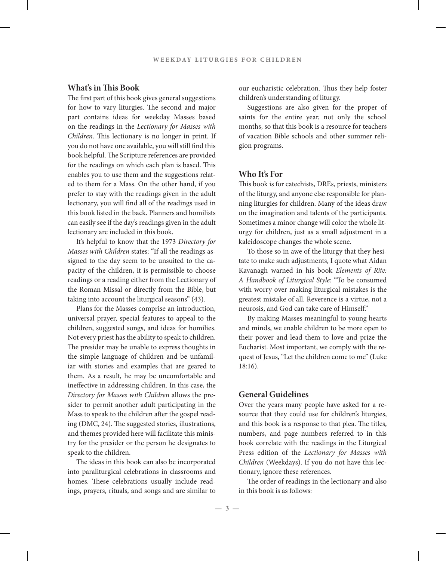#### **What's in This Book**

The first part of this book gives general suggestions for how to vary liturgies. The second and major part contains ideas for weekday Masses based on the readings in the *Lectionary for Masses with Children*. This lectionary is no longer in print. If you do not have one available, you will still find this book helpful. The Scripture references are provided for the readings on which each plan is based. This enables you to use them and the suggestions related to them for a Mass. On the other hand, if you prefer to stay with the readings given in the adult lectionary, you will find all of the readings used in this book listed in the back. Planners and homilists can easily see if the day's readings given in the adult lectionary are included in this book.

It's helpful to know that the 1973 *Directory for Masses with Children* states: "If all the readings assigned to the day seem to be unsuited to the capacity of the children, it is permissible to choose readings or a reading either from the Lectionary of the Roman Missal or directly from the Bible, but taking into account the liturgical seasons" (43).

Plans for the Masses comprise an introduction, universal prayer, special features to appeal to the children, suggested songs, and ideas for homilies. Not every priest has the ability to speak to children. The presider may be unable to express thoughts in the simple language of children and be unfamiliar with stories and examples that are geared to them. As a result, he may be uncomfortable and ineffective in addressing children. In this case, the *Directory for Masses with Children* allows the presider to permit another adult participating in the Mass to speak to the children after the gospel reading (DMC, 24). The suggested stories, illustrations, and themes provided here will facilitate this ministry for the presider or the person he designates to speak to the children.

The ideas in this book can also be incorporated into paraliturgical celebrations in classrooms and homes. These celebrations usually include readings, prayers, rituals, and songs and are similar to

our eucharistic celebration. Thus they help foster children's understanding of liturgy.

Suggestions are also given for the proper of saints for the entire year, not only the school months, so that this book is a resource for teachers of vacation Bible schools and other summer religion programs.

#### **Who It's For**

This book is for catechists, DREs, priests, ministers of the liturgy, and anyone else responsible for planning liturgies for children. Many of the ideas draw on the imagination and talents of the participants. Sometimes a minor change will color the whole liturgy for children, just as a small adjustment in a kaleidoscope changes the whole scene.

To those so in awe of the liturgy that they hesitate to make such adjustments, I quote what Aidan Kavanagh warned in his book *Elements of Rite: A Handbook of Liturgical Style*: "To be consumed with worry over making liturgical mistakes is the greatest mistake of all. Reverence is a virtue, not a neurosis, and God can take care of Himself."

By making Masses meaningful to young hearts and minds, we enable children to be more open to their power and lead them to love and prize the Eucharist. Most important, we comply with the request of Jesus, "Let the children come to me" (Luke 18:16).

#### **General Guidelines**

Over the years many people have asked for a resource that they could use for children's liturgies, and this book is a response to that plea. The titles, numbers, and page numbers referred to in this book correlate with the readings in the Liturgical Press edition of the *Lectionary for Masses with Children* (Weekdays). If you do not have this lectionary, ignore these references.

The order of readings in the lectionary and also in this book is as follows: